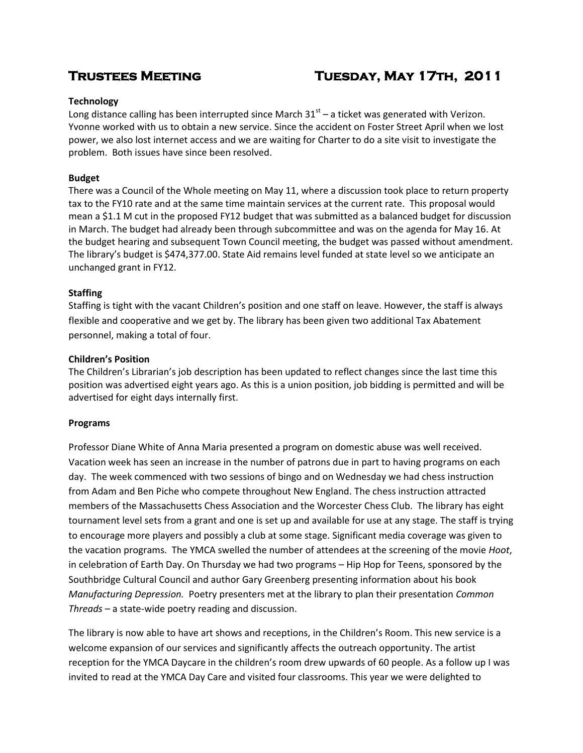# **Trustees Meeting Tuesday, May 17th, 2011**

# **Technology**

Long distance calling has been interrupted since March  $31<sup>st</sup>$  – a ticket was generated with Verizon. Yvonne worked with us to obtain a new service. Since the accident on Foster Street April when we lost power, we also lost internet access and we are waiting for Charter to do a site visit to investigate the problem. Both issues have since been resolved.

# **Budget**

There was a Council of the Whole meeting on May 11, where a discussion took place to return property tax to the FY10 rate and at the same time maintain services at the current rate. This proposal would mean a \$1.1 M cut in the proposed FY12 budget that was submitted as a balanced budget for discussion in March. The budget had already been through subcommittee and was on the agenda for May 16. At the budget hearing and subsequent Town Council meeting, the budget was passed without amendment. The library's budget is \$474,377.00. State Aid remains level funded at state level so we anticipate an unchanged grant in FY12.

# **Staffing**

Staffing is tight with the vacant Children's position and one staff on leave. However, the staff is always flexible and cooperative and we get by. The library has been given two additional Tax Abatement personnel, making a total of four.

# **Children's Position**

The Children's Librarian's job description has been updated to reflect changes since the last time this position was advertised eight years ago. As this is a union position, job bidding is permitted and will be advertised for eight days internally first.

# **Programs**

Professor Diane White of Anna Maria presented a program on domestic abuse was well received. Vacation week has seen an increase in the number of patrons due in part to having programs on each day. The week commenced with two sessions of bingo and on Wednesday we had chess instruction from Adam and Ben Piche who compete throughout New England. The chess instruction attracted members of the Massachusetts Chess Association and the Worcester Chess Club. The library has eight tournament level sets from a grant and one is set up and available for use at any stage. The staff is trying to encourage more players and possibly a club at some stage. Significant media coverage was given to the vacation programs. The YMCA swelled the number of attendees at the screening of the movie *Hoot*, in celebration of Earth Day. On Thursday we had two programs – Hip Hop for Teens, sponsored by the Southbridge Cultural Council and author Gary Greenberg presenting information about his book *Manufacturing Depression.* Poetry presenters met at the library to plan their presentation *Common Threads –* a state-wide poetry reading and discussion.

The library is now able to have art shows and receptions, in the Children's Room. This new service is a welcome expansion of our services and significantly affects the outreach opportunity. The artist reception for the YMCA Daycare in the children's room drew upwards of 60 people. As a follow up I was invited to read at the YMCA Day Care and visited four classrooms. This year we were delighted to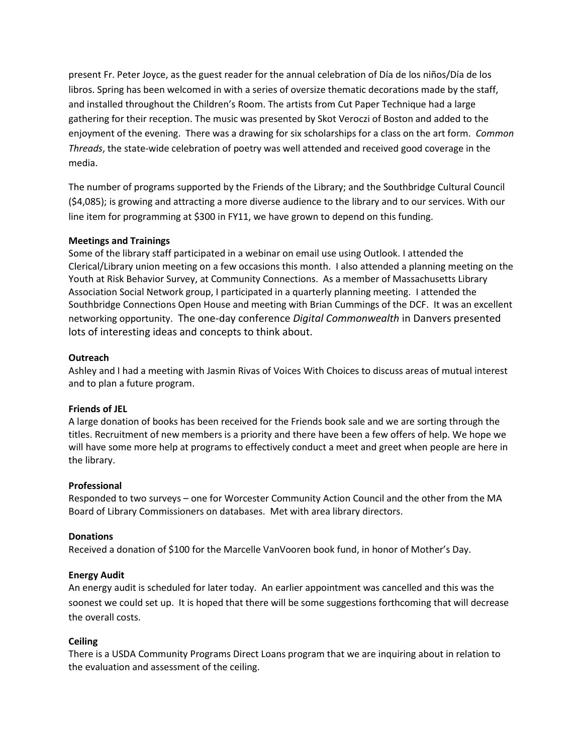present Fr. Peter Joyce, as the guest reader for the annual celebration of Día de los niños/Día de los libros. Spring has been welcomed in with a series of oversize thematic decorations made by the staff, and installed throughout the Children's Room. The artists from Cut Paper Technique had a large gathering for their reception. The music was presented by Skot Veroczi of Boston and added to the enjoyment of the evening. There was a drawing for six scholarships for a class on the art form. *Common Threads*, the state-wide celebration of poetry was well attended and received good coverage in the media.

The number of programs supported by the Friends of the Library; and the Southbridge Cultural Council (\$4,085); is growing and attracting a more diverse audience to the library and to our services. With our line item for programming at \$300 in FY11, we have grown to depend on this funding.

# **Meetings and Trainings**

Some of the library staff participated in a webinar on email use using Outlook. I attended the Clerical/Library union meeting on a few occasions this month. I also attended a planning meeting on the Youth at Risk Behavior Survey, at Community Connections. As a member of Massachusetts Library Association Social Network group, I participated in a quarterly planning meeting. I attended the Southbridge Connections Open House and meeting with Brian Cummings of the DCF. It was an excellent networking opportunity. The one-day conference *Digital Commonwealth* in Danvers presented lots of interesting ideas and concepts to think about.

### **Outreach**

Ashley and I had a meeting with Jasmin Rivas of Voices With Choices to discuss areas of mutual interest and to plan a future program.

# **Friends of JEL**

A large donation of books has been received for the Friends book sale and we are sorting through the titles. Recruitment of new members is a priority and there have been a few offers of help. We hope we will have some more help at programs to effectively conduct a meet and greet when people are here in the library.

#### **Professional**

Responded to two surveys – one for Worcester Community Action Council and the other from the MA Board of Library Commissioners on databases. Met with area library directors.

#### **Donations**

Received a donation of \$100 for the Marcelle VanVooren book fund, in honor of Mother's Day.

#### **Energy Audit**

An energy audit is scheduled for later today. An earlier appointment was cancelled and this was the soonest we could set up. It is hoped that there will be some suggestions forthcoming that will decrease the overall costs.

# **Ceiling**

There is a USDA Community Programs Direct Loans program that we are inquiring about in relation to the evaluation and assessment of the ceiling.